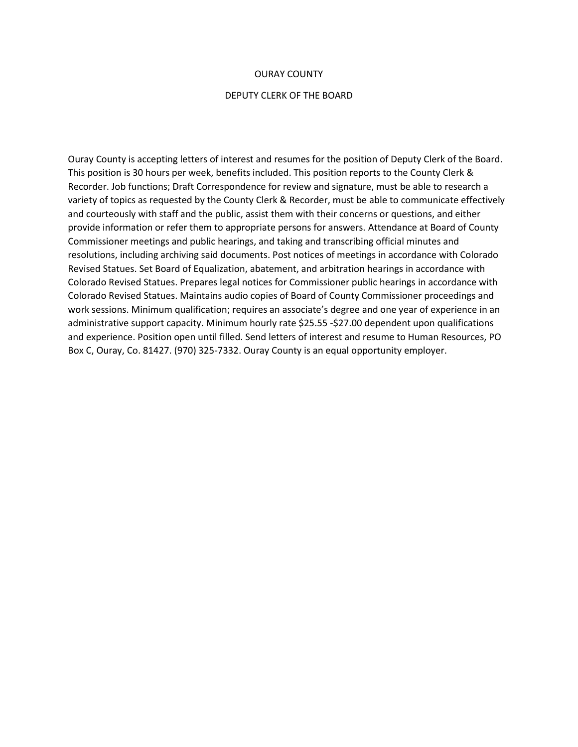#### OURAY COUNTY

#### DEPUTY CLERK OF THE BOARD

Ouray County is accepting letters of interest and resumes for the position of Deputy Clerk of the Board. This position is 30 hours per week, benefits included. This position reports to the County Clerk & Recorder. Job functions; Draft Correspondence for review and signature, must be able to research a variety of topics as requested by the County Clerk & Recorder, must be able to communicate effectively and courteously with staff and the public, assist them with their concerns or questions, and either provide information or refer them to appropriate persons for answers. Attendance at Board of County Commissioner meetings and public hearings, and taking and transcribing official minutes and resolutions, including archiving said documents. Post notices of meetings in accordance with Colorado Revised Statues. Set Board of Equalization, abatement, and arbitration hearings in accordance with Colorado Revised Statues. Prepares legal notices for Commissioner public hearings in accordance with Colorado Revised Statues. Maintains audio copies of Board of County Commissioner proceedings and work sessions. Minimum qualification; requires an associate's degree and one year of experience in an administrative support capacity. Minimum hourly rate \$25.55 -\$27.00 dependent upon qualifications and experience. Position open until filled. Send letters of interest and resume to Human Resources, PO Box C, Ouray, Co. 81427. (970) 325-7332. Ouray County is an equal opportunity employer.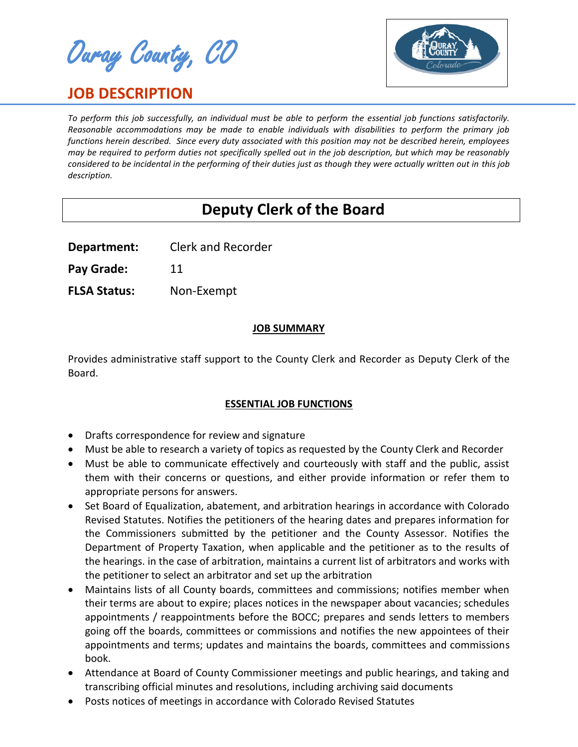Ouray County, CO

# **JOB DESCRIPTION**



*To perform this job successfully, an individual must be able to perform the essential job functions satisfactorily. Reasonable accommodations may be made to enable individuals with disabilities to perform the primary job functions herein described. Since every duty associated with this position may not be described herein, employees may be required to perform duties not specifically spelled out in the job description, but which may be reasonably considered to be incidental in the performing of their duties just as though they were actually written out in this job description.*

# **Deputy Clerk of the Board**

**Department:** Clerk and Recorder

Pay Grade: 11

**FLSA Status:** Non-Exempt

## **JOB SUMMARY**

Provides administrative staff support to the County Clerk and Recorder as Deputy Clerk of the Board.

# **ESSENTIAL JOB FUNCTIONS**

- Drafts correspondence for review and signature
- Must be able to research a variety of topics as requested by the County Clerk and Recorder
- Must be able to communicate effectively and courteously with staff and the public, assist them with their concerns or questions, and either provide information or refer them to appropriate persons for answers.
- Set Board of Equalization, abatement, and arbitration hearings in accordance with Colorado Revised Statutes. Notifies the petitioners of the hearing dates and prepares information for the Commissioners submitted by the petitioner and the County Assessor. Notifies the Department of Property Taxation, when applicable and the petitioner as to the results of the hearings. in the case of arbitration, maintains a current list of arbitrators and works with the petitioner to select an arbitrator and set up the arbitration
- Maintains lists of all County boards, committees and commissions; notifies member when their terms are about to expire; places notices in the newspaper about vacancies; schedules appointments / reappointments before the BOCC; prepares and sends letters to members going off the boards, committees or commissions and notifies the new appointees of their appointments and terms; updates and maintains the boards, committees and commissions book.
- Attendance at Board of County Commissioner meetings and public hearings, and taking and transcribing official minutes and resolutions, including archiving said documents
- Posts notices of meetings in accordance with Colorado Revised Statutes